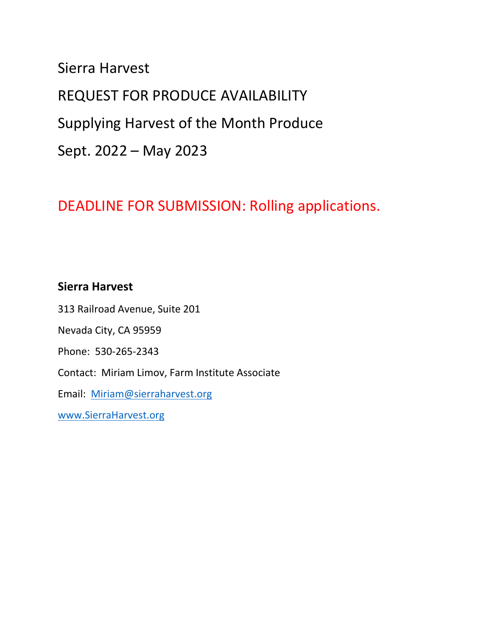Sierra Harvest REQUEST FOR PRODUCE AVAILABILITY Supplying Harvest of the Month Produce Sept. 2022 – May 2023

# DEADLINE FOR SUBMISSION: Rolling applications.

# **Sierra Harvest**

313 Railroad Avenue, Suite 201

Nevada City, CA 95959

Phone: 530-265-2343

Contact: Miriam Limov, Farm Institute Associate

Email: [Miriam@sierraharvest.org](mailto:Miriam@sierraharvest.org)

[www.SierraHarvest.org](http://www.sierraharvest.org/)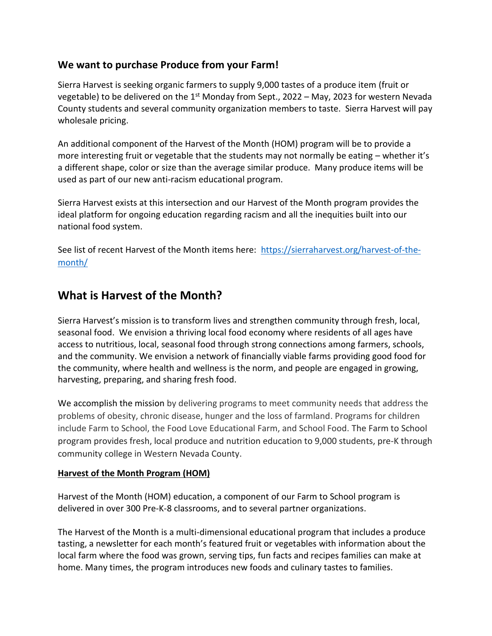### **We want to purchase Produce from your Farm!**

Sierra Harvest is seeking organic farmers to supply 9,000 tastes of a produce item (fruit or vegetable) to be delivered on the  $1<sup>st</sup>$  Monday from Sept., 2022 – May, 2023 for western Nevada County students and several community organization members to taste. Sierra Harvest will pay wholesale pricing.

An additional component of the Harvest of the Month (HOM) program will be to provide a more interesting fruit or vegetable that the students may not normally be eating – whether it's a different shape, color or size than the average similar produce. Many produce items will be used as part of our new anti-racism educational program.

Sierra Harvest exists at this intersection and our Harvest of the Month program provides the ideal platform for ongoing education regarding racism and all the inequities built into our national food system.

See list of recent Harvest of the Month items here: [https://sierraharvest.org/harvest-of-the](https://sierraharvest.org/harvest-of-the-month/)[month/](https://sierraharvest.org/harvest-of-the-month/)

# **What is Harvest of the Month?**

Sierra Harvest's mission is to transform lives and strengthen community through fresh, local, seasonal food. We envision a thriving local food economy where residents of all ages have access to nutritious, local, seasonal food through strong connections among farmers, schools, and the community. We envision a network of financially viable farms providing good food for the community, where health and wellness is the norm, and people are engaged in growing, harvesting, preparing, and sharing fresh food.

We accomplish the mission by delivering programs to meet community needs that address the problems of obesity, chronic disease, hunger and the loss of farmland. Programs for children include Farm to School, the Food Love Educational Farm, and School Food. The Farm to School program provides fresh, local produce and nutrition education to 9,000 students, pre-K through community college in Western Nevada County.

#### **Harvest of the Month Program (HOM)**

Harvest of the Month (HOM) education, a component of our Farm to School program is delivered in over 300 Pre-K-8 classrooms, and to several partner organizations.

The Harvest of the Month is a multi-dimensional educational program that includes a produce tasting, a newsletter for each month's featured fruit or vegetables with information about the local farm where the food was grown, serving tips, fun facts and recipes families can make at home. Many times, the program introduces new foods and culinary tastes to families.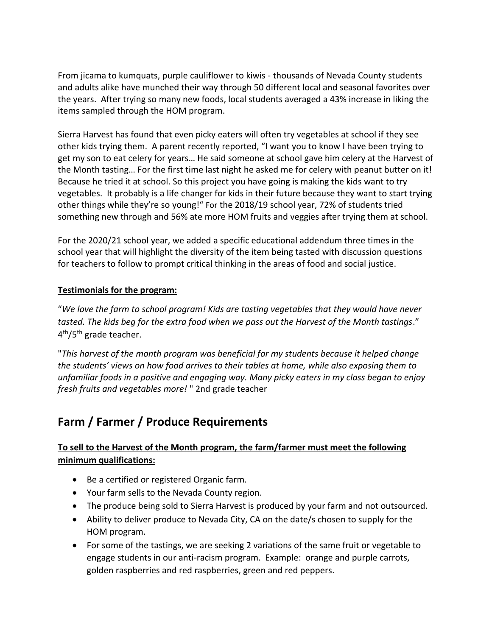From jicama to kumquats, purple cauliflower to kiwis - thousands of Nevada County students and adults alike have munched their way through 50 different local and seasonal favorites over the years. After trying so many new foods, local students averaged a 43% increase in liking the items sampled through the HOM program.

Sierra Harvest has found that even picky eaters will often try vegetables at school if they see other kids trying them. A parent recently reported, "I want you to know I have been trying to get my son to eat celery for years… He said someone at school gave him celery at the Harvest of the Month tasting… For the first time last night he asked me for celery with peanut butter on it! Because he tried it at school. So this project you have going is making the kids want to try vegetables. It probably is a life changer for kids in their future because they want to start trying other things while they're so young!" For the 2018/19 school year, 72% of students tried something new through and 56% ate more HOM fruits and veggies after trying them at school.

For the 2020/21 school year, we added a specific educational addendum three times in the school year that will highlight the diversity of the item being tasted with discussion questions for teachers to follow to prompt critical thinking in the areas of food and social justice.

#### **Testimonials for the program:**

"*We love the farm to school program! Kids are tasting vegetables that they would have never tasted. The kids beg for the extra food when we pass out the Harvest of the Month tastings*." 4<sup>th</sup>/5<sup>th</sup> grade teacher.

"*This harvest of the month program was beneficial for my students because it helped change the students' views on how food arrives to their tables at home, while also exposing them to unfamiliar foods in a positive and engaging way. Many picky eaters in my class began to enjoy fresh fruits and vegetables more!* " 2nd grade teacher

# **Farm / Farmer / Produce Requirements**

### **To sell to the Harvest of the Month program, the farm/farmer must meet the following minimum qualifications:**

- Be a certified or registered Organic farm.
- Your farm sells to the Nevada County region.
- The produce being sold to Sierra Harvest is produced by your farm and not outsourced.
- Ability to deliver produce to Nevada City, CA on the date/s chosen to supply for the HOM program.
- For some of the tastings, we are seeking 2 variations of the same fruit or vegetable to engage students in our anti-racism program. Example: orange and purple carrots, golden raspberries and red raspberries, green and red peppers.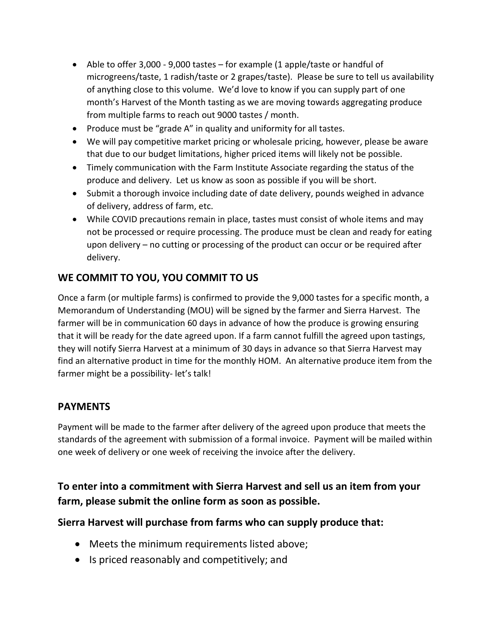- Able to offer 3,000 9,000 tastes for example (1 apple/taste or handful of microgreens/taste, 1 radish/taste or 2 grapes/taste). Please be sure to tell us availability of anything close to this volume. We'd love to know if you can supply part of one month's Harvest of the Month tasting as we are moving towards aggregating produce from multiple farms to reach out 9000 tastes / month.
- Produce must be "grade A" in quality and uniformity for all tastes.
- We will pay competitive market pricing or wholesale pricing, however, please be aware that due to our budget limitations, higher priced items will likely not be possible.
- Timely communication with the Farm Institute Associate regarding the status of the produce and delivery. Let us know as soon as possible if you will be short.
- Submit a thorough invoice including date of date delivery, pounds weighed in advance of delivery, address of farm, etc.
- While COVID precautions remain in place, tastes must consist of whole items and may not be processed or require processing. The produce must be clean and ready for eating upon delivery – no cutting or processing of the product can occur or be required after delivery.

# **WE COMMIT TO YOU, YOU COMMIT TO US**

Once a farm (or multiple farms) is confirmed to provide the 9,000 tastes for a specific month, a Memorandum of Understanding (MOU) will be signed by the farmer and Sierra Harvest. The farmer will be in communication 60 days in advance of how the produce is growing ensuring that it will be ready for the date agreed upon. If a farm cannot fulfill the agreed upon tastings, they will notify Sierra Harvest at a minimum of 30 days in advance so that Sierra Harvest may find an alternative product in time for the monthly HOM. An alternative produce item from the farmer might be a possibility- let's talk!

## **PAYMENTS**

Payment will be made to the farmer after delivery of the agreed upon produce that meets the standards of the agreement with submission of a formal invoice. Payment will be mailed within one week of delivery or one week of receiving the invoice after the delivery.

# **To enter into a commitment with Sierra Harvest and sell us an item from your farm, please submit the online form as soon as possible.**

## **Sierra Harvest will purchase from farms who can supply produce that:**

- Meets the minimum requirements listed above;
- Is priced reasonably and competitively; and